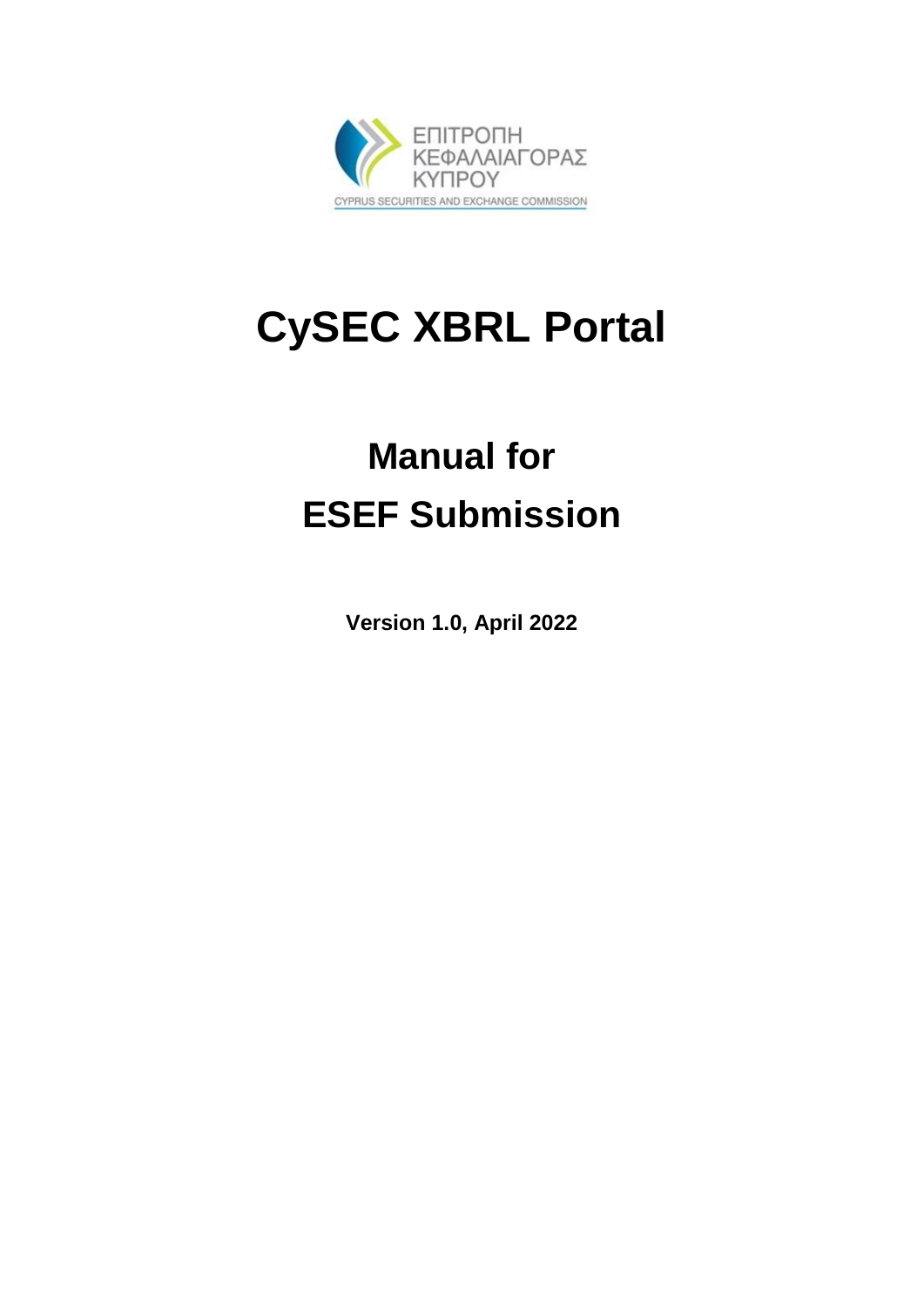

# **CySEC XBRL Portal**

# **Manual for ESEF Submission**

**Version 1.0, April 2022**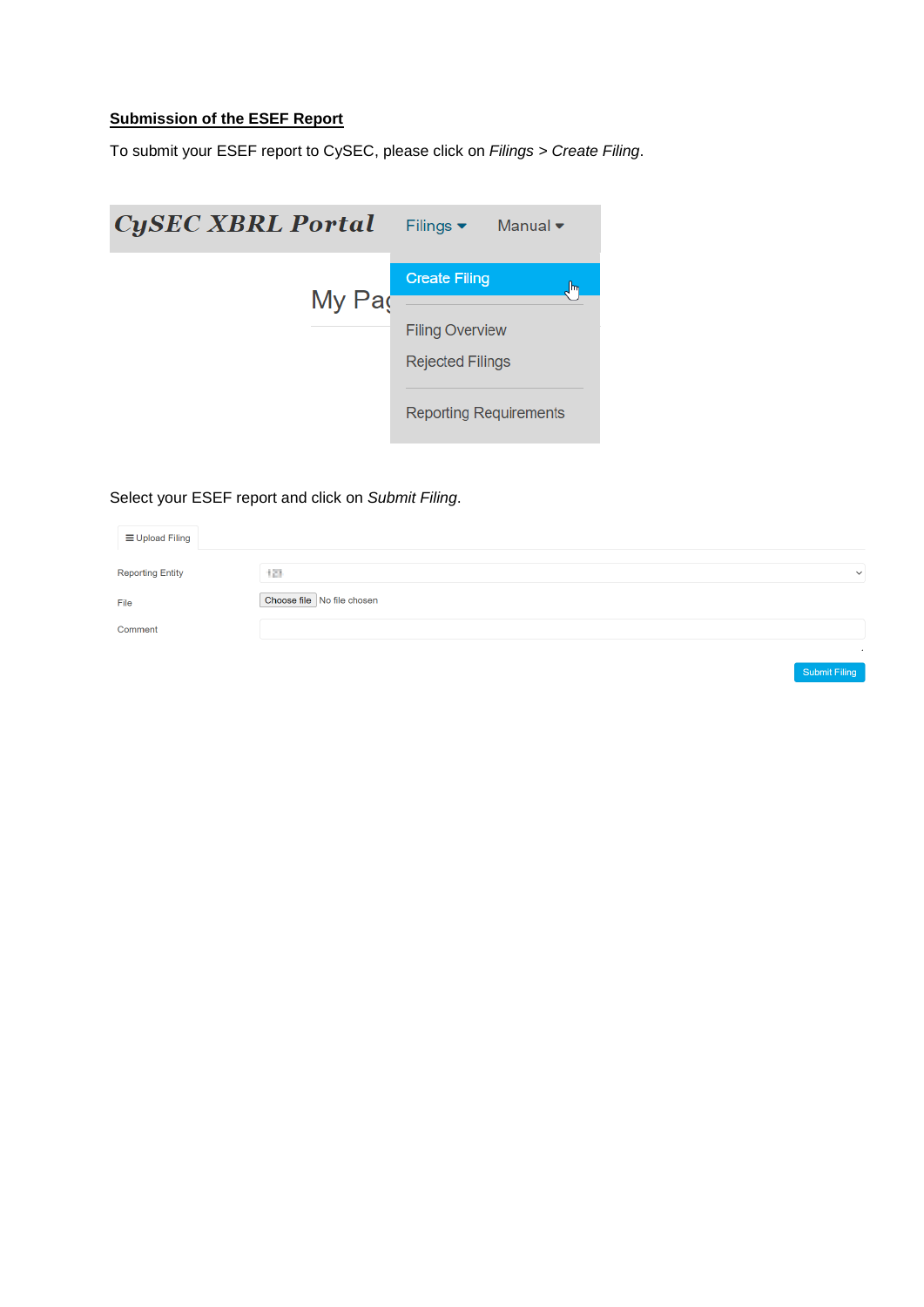# **Submission of the ESEF Report**

To submit your ESEF report to CySEC, please click on *Filings > Create Filing*.



# Select your ESEF report and click on *Submit Filing*.

| <b>≡ Upload Filing</b>  |                            |              |
|-------------------------|----------------------------|--------------|
| <b>Reporting Entity</b> | 128                        | $\checkmark$ |
| File                    | Choose file No file chosen |              |
| Comment                 |                            |              |
|                         |                            |              |

Submit Filing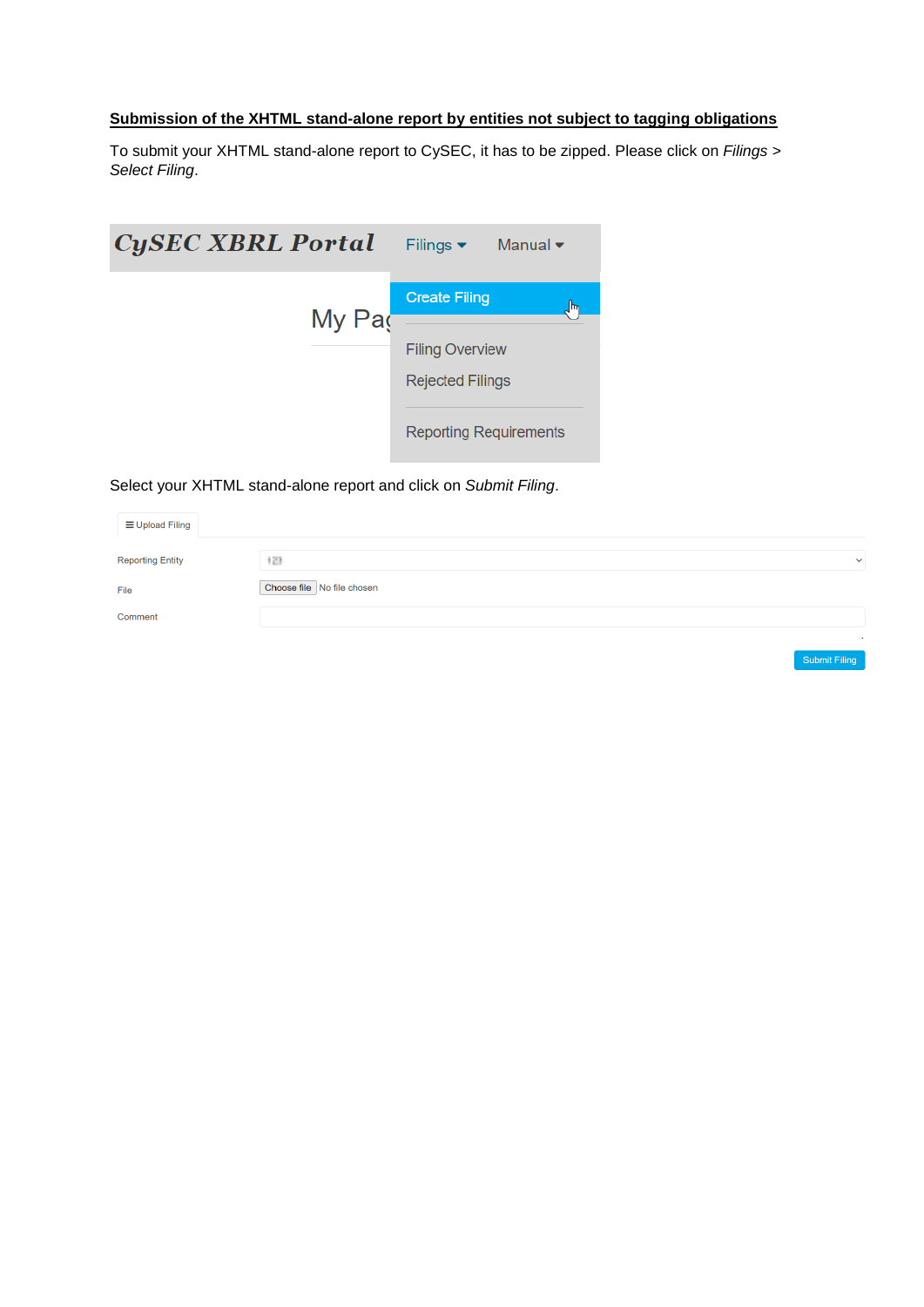# **Submission of the XHTML stand-alone report by entities not subject to tagging obligations**

To submit your XHTML stand-alone report to CySEC, it has to be zipped. Please click on *Filings > Select Filing*.

| Filings $\blacktriangleright$ Manual $\blacktriangleright$ |
|------------------------------------------------------------|
| <b>Create Filing</b><br> m                                 |
|                                                            |
| <b>Filing Overview</b>                                     |
| <b>Rejected Filings</b>                                    |
|                                                            |
| <b>Reporting Requirements</b>                              |
|                                                            |

# Select your XHTML stand-alone report and click on *Submit Filing*.

| E Upload Filing         |                            |               |
|-------------------------|----------------------------|---------------|
| <b>Reporting Entity</b> | 128                        | $\checkmark$  |
| File                    | Choose file No file chosen |               |
| Comment                 |                            |               |
|                         |                            |               |
|                         |                            | Submit Filing |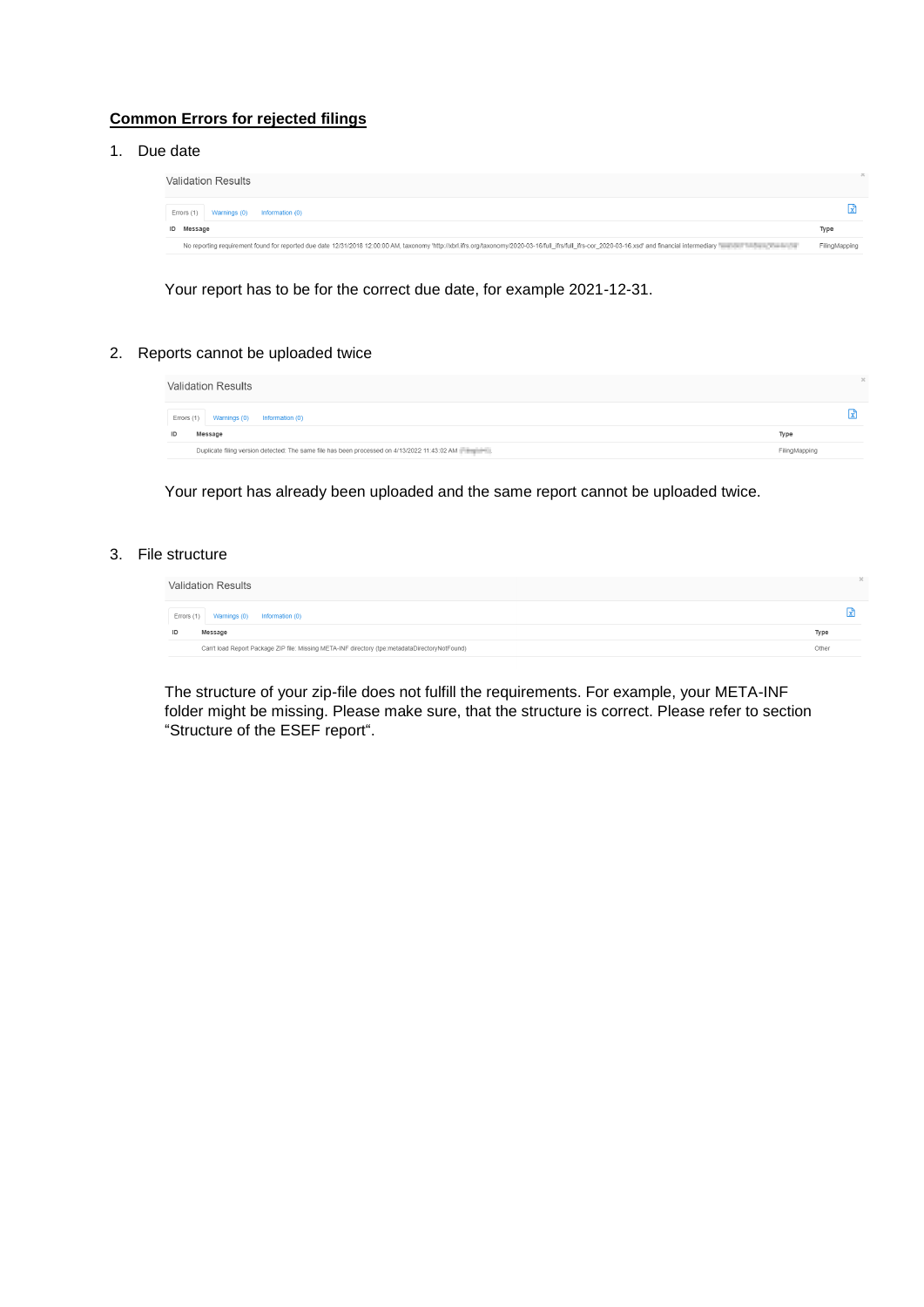#### **Common Errors for rejected filings**

1. Due date

| Validation Results                                                                                                                                                                                                             |               |
|--------------------------------------------------------------------------------------------------------------------------------------------------------------------------------------------------------------------------------|---------------|
| Errors (1) Warnings (0) Information (0)                                                                                                                                                                                        |               |
| ID Message                                                                                                                                                                                                                     | Type          |
| No reporting requirement found for reported due date 12/31/2018 12:00:00 AM, taxonomy 'http://xbrl.ifrs.org/taxonomy/2020-03-16/full_ifrs/full_ifrs-cor_2020-03-16.xsd' and financial intermediary "www.part interpretationary | FilingMapping |

Your report has to be for the correct due date, for example 2021-12-31.

#### 2. Reports cannot be uploaded twice

| <b>Validation Results</b>                                                                    |               | $\mathcal{L}$ |
|----------------------------------------------------------------------------------------------|---------------|---------------|
| Errors (1) Warnings (0) Information (0)                                                      |               |               |
| Message<br>ID                                                                                | Type          |               |
| Duplicate filing version detected: The same file has been processed on 4/13/2022 11:43:02 AM | FilingMapping |               |

Your report has already been uploaded and the same report cannot be uploaded twice.

#### 3. File structure

| <b>Validation Results</b>                                                                      |       |
|------------------------------------------------------------------------------------------------|-------|
| Warnings (0) Information (0)<br>Errors (1)                                                     |       |
| Message<br>ID                                                                                  | Type  |
| Can't load Report Package ZIP file: Missing META-INF directory (tpe:metadataDirectoryNotFound) | Other |

The structure of your zip-file does not fulfill the requirements. For example, your META-INF folder might be missing. Please make sure, that the structure is correct. Please refer to section "Structure of the ESEF report".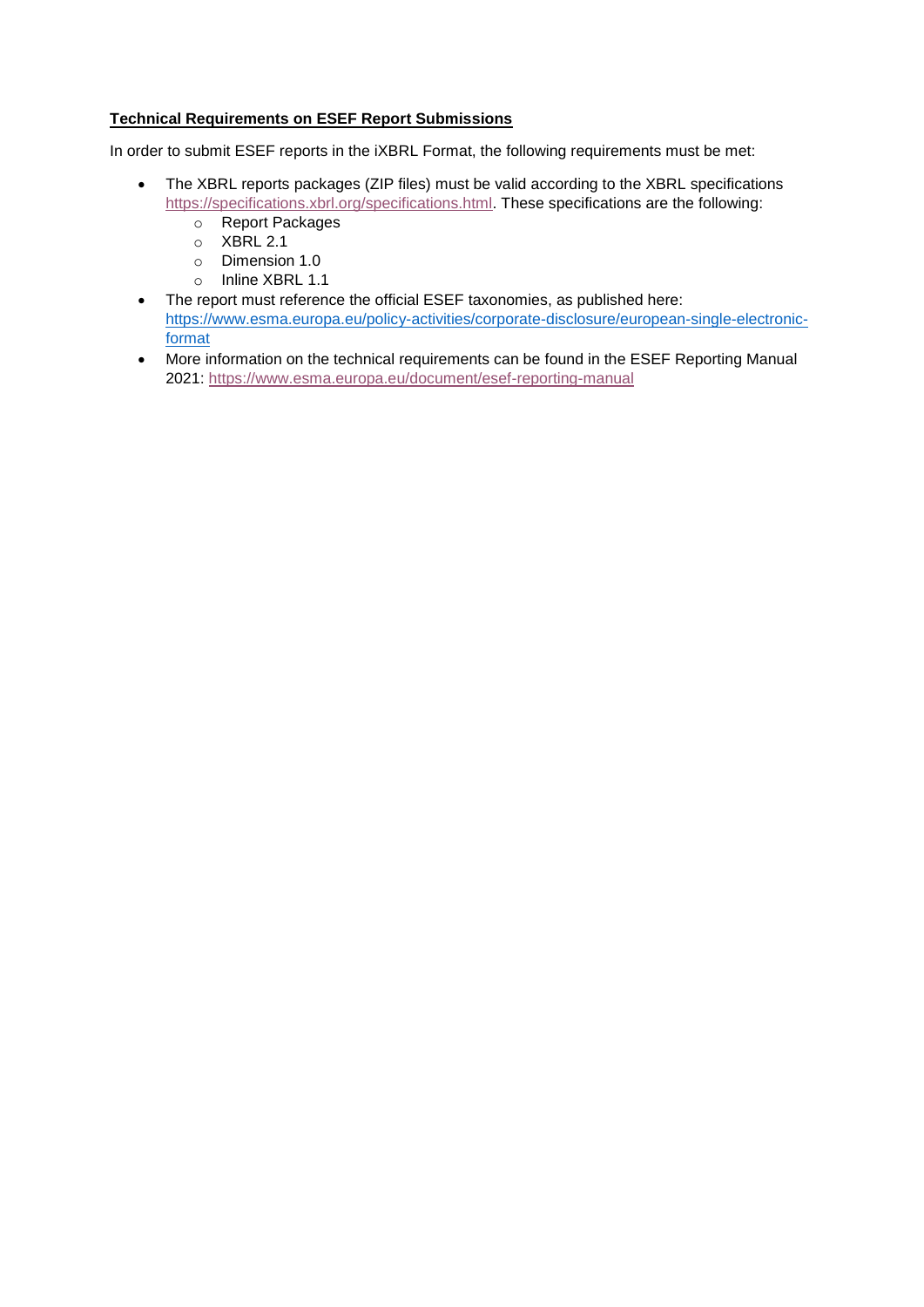# **Technical Requirements on ESEF Report Submissions**

In order to submit ESEF reports in the iXBRL Format, the following requirements must be met:

- The XBRL reports packages (ZIP files) must be valid according to the XBRL specifications [https://specifications.xbrl.org/specifications.html.](https://specifications.xbrl.org/specifications.html) These specifications are the following:
	- o Report Packages
	- o XBRL 2.1
	- o Dimension 1.0
	- o Inline XBRL 1.1
- The report must reference the official ESEF taxonomies, as published here: [https://www.esma.europa.eu/policy-activities/corporate-disclosure/european-single-electronic](https://www.esma.europa.eu/policy-activities/corporate-disclosure/european-single-electronic-format)[format](https://www.esma.europa.eu/policy-activities/corporate-disclosure/european-single-electronic-format)
- More information on the technical requirements can be found in the ESEF Reporting Manual 2021:<https://www.esma.europa.eu/document/esef-reporting-manual>